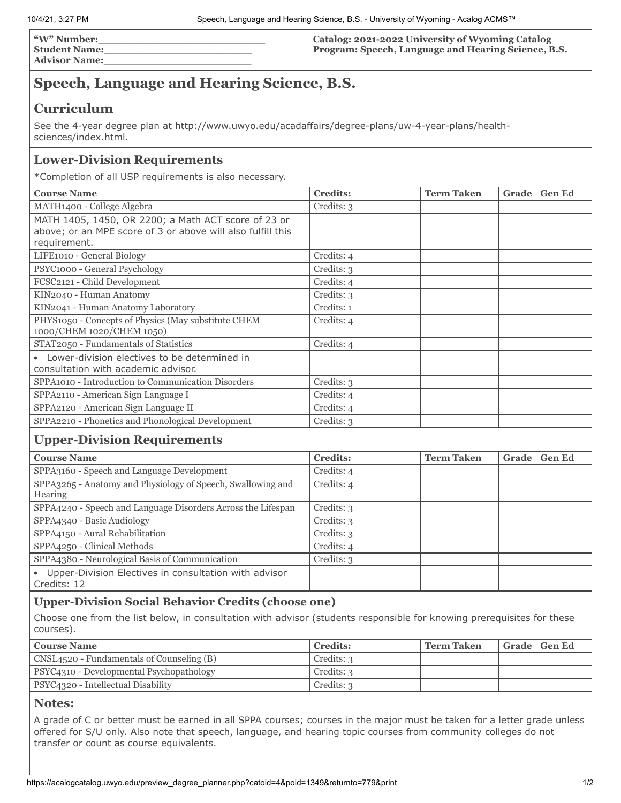**"W" Number:\_\_\_\_\_\_\_\_\_\_\_\_\_\_\_\_\_\_\_\_\_\_\_\_\_\_ Student Name:\_\_\_\_\_\_\_\_\_\_\_\_\_\_\_\_\_\_\_\_\_\_\_ Advisor Name:\_\_\_\_\_\_\_\_\_\_\_\_\_\_\_\_\_\_\_\_\_\_\_**

**Catalog: 2021-2022 University of Wyoming Catalog Program: Speech, Language and Hearing Science, B.S.**

# **Speech, Language and Hearing Science, B.S.**

### **Curriculum**

See the 4-year degree plan at http://www.uwyo.edu/acadaffairs/degree-plans/uw-4-year-plans/healthsciences/index.html.

### **Lower-Division Requirements**

\*Completion of all USP requirements is also necessary.

| <b>Course Name</b>                                          | <b>Credits:</b> | <b>Term Taken</b> | Grade | <b>Gen Ed</b> |
|-------------------------------------------------------------|-----------------|-------------------|-------|---------------|
| MATH1400 - College Algebra                                  | Credits: 3      |                   |       |               |
| MATH 1405, 1450, OR 2200; a Math ACT score of 23 or         |                 |                   |       |               |
| above; or an MPE score of 3 or above will also fulfill this |                 |                   |       |               |
| requirement.                                                |                 |                   |       |               |
| LIFE1010 - General Biology                                  | Credits: 4      |                   |       |               |
| PSYC1000 - General Psychology                               | Credits: 3      |                   |       |               |
| FCSC2121 - Child Development                                | Credits: 4      |                   |       |               |
| KIN2040 - Human Anatomy                                     | Credits: 3      |                   |       |               |
| KIN2041 - Human Anatomy Laboratory                          | Credits: 1      |                   |       |               |
| PHYS1050 - Concepts of Physics (May substitute CHEM         | Credits: 4      |                   |       |               |
| 1000/CHEM 1020/CHEM 1050)                                   |                 |                   |       |               |
| STAT2050 - Fundamentals of Statistics                       | Credits: 4      |                   |       |               |
| Lower-division electives to be determined in                |                 |                   |       |               |
| consultation with academic advisor.                         |                 |                   |       |               |
| SPPA1010 - Introduction to Communication Disorders          | Credits: 3      |                   |       |               |
| SPPA2110 - American Sign Language I                         | Credits: 4      |                   |       |               |
| SPPA2120 - American Sign Language II                        | Credits: 4      |                   |       |               |
| SPPA2210 - Phonetics and Phonological Development           | Credits: 3      |                   |       |               |

## **Upper-Division Requirements**

| <b>Course Name</b>                                                                | <b>Credits:</b> | <b>Term Taken</b> | Grade | <b>Gen Ed</b> |
|-----------------------------------------------------------------------------------|-----------------|-------------------|-------|---------------|
| SPPA3160 - Speech and Language Development                                        | Credits: 4      |                   |       |               |
| SPPA3265 - Anatomy and Physiology of Speech, Swallowing and<br>Hearing            | Credits: 4      |                   |       |               |
| SPPA4240 - Speech and Language Disorders Across the Lifespan                      | Credits: 3      |                   |       |               |
| SPPA4340 - Basic Audiology                                                        | Credits: 3      |                   |       |               |
| SPPA4150 - Aural Rehabilitation                                                   | Credits: 3      |                   |       |               |
| SPPA4250 - Clinical Methods                                                       | Credits: 4      |                   |       |               |
| SPPA4380 - Neurological Basis of Communication                                    | Credits: 3      |                   |       |               |
| Upper-Division Electives in consultation with advisor<br>$\bullet$<br>Credits: 12 |                 |                   |       |               |

### **Upper-Division Social Behavior Credits (choose one)**

Choose one from the list below, in consultation with advisor (students responsible for knowing prerequisites for these courses).

| <b>Course Name</b>                        | <b>Credits:</b> | <b>Term Taken</b> | Grade   Gen Ed |
|-------------------------------------------|-----------------|-------------------|----------------|
| CNSL4520 - Fundamentals of Counseling (B) | Credits: 3      |                   |                |
| PSYC4310 - Developmental Psychopathology  | Credits: 3      |                   |                |
| PSYC4320 - Intellectual Disability        | Credits: 3      |                   |                |

#### **Notes:**

A grade of C or better must be earned in all SPPA courses; courses in the major must be taken for a letter grade unless offered for S/U only. Also note that speech, language, and hearing topic courses from community colleges do not transfer or count as course equivalents.